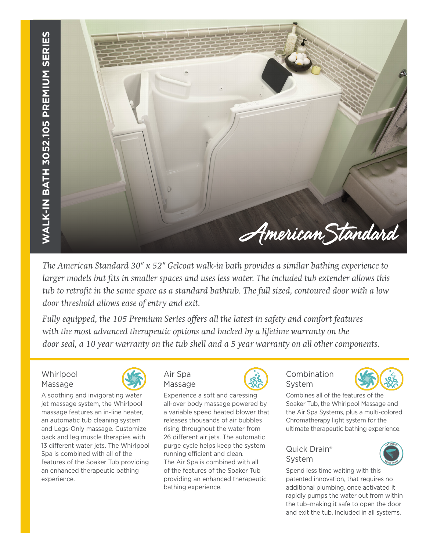

*The American Standard 30" x 52" Gelcoat walk-in bath provides a similar bathing experience to larger models but fits in smaller spaces and uses less water. The included tub extender allows this tub to retrofit in the same space as a standard bathtub. The full sized, contoured door with a low door threshold allows ease of entry and exit.* 

*Fully equipped, the 105 Premium Series offers all the latest in safety and comfort features with the most advanced therapeutic options and backed by a lifetime warranty on the door seal, a 10 year warranty on the tub shell and a 5 year warranty on all other components.*

## **Whirlpool** Massage



A soothing and invigorating water jet massage system, the Whirlpool massage features an in-line heater, an automatic tub cleaning system and Legs-Only massage. Customize back and leg muscle therapies with 13 different water jets. The Whirlpool Spa is combined with all of the features of the Soaker Tub providing an enhanced therapeutic bathing experience.



Massage

Experience a soft and caressing all-over body massage powered by a variable speed heated blower that releases thousands of air bubbles rising throughout the water from 26 different air jets. The automatic purge cycle helps keep the system running efficient and clean. The Air Spa is combined with all of the features of the Soaker Tub providing an enhanced therapeutic bathing experience.



# Combination System



Combines all of the features of the Soaker Tub, the Whirlpool Massage and the Air Spa Systems, plus a multi-colored Chromatherapy light system for the ultimate therapeutic bathing experience.

# Quick Drain® System



Spend less time waiting with this patented innovation, that requires no additional plumbing, once activated it rapidly pumps the water out from within the tub–making it safe to open the door and exit the tub. Included in all systems.